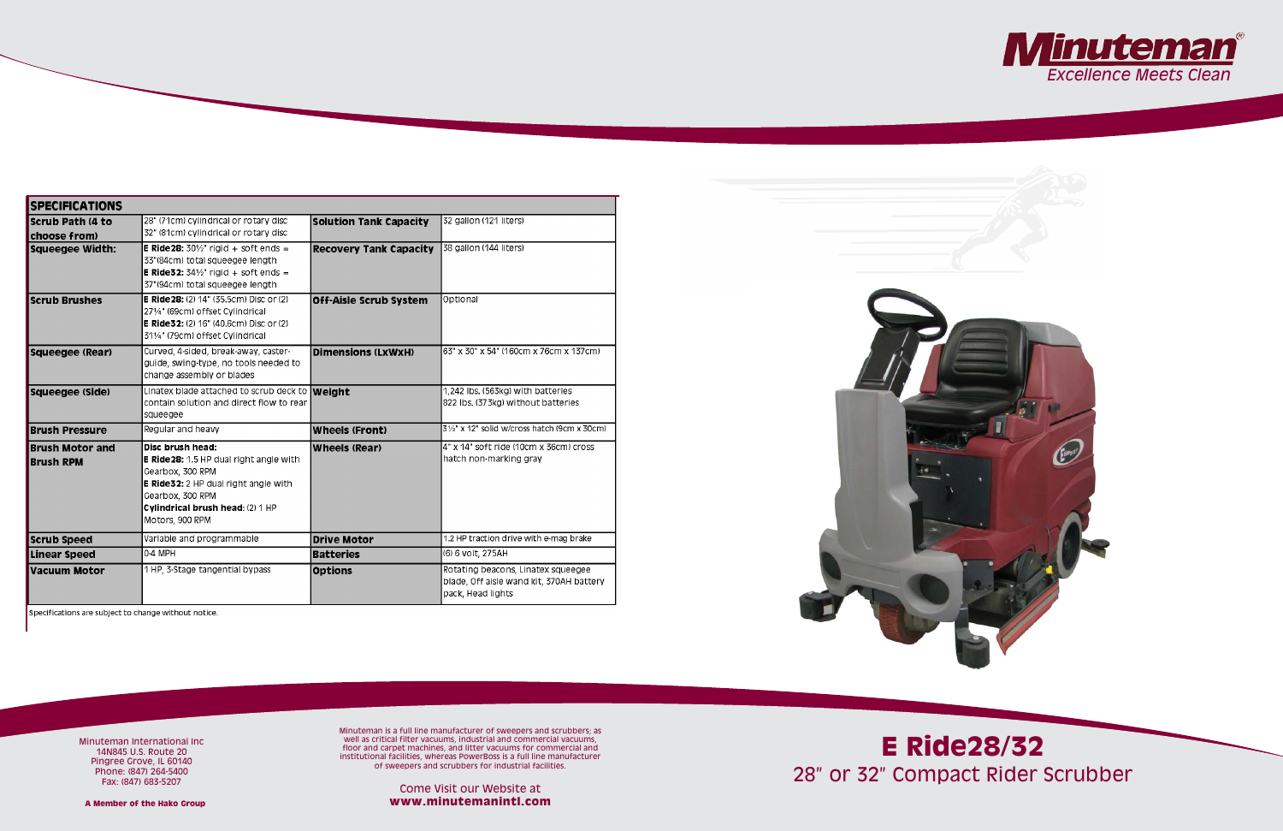| <b>SPECIFICATIONS</b>                      |                                                                                                                                                                                                                  |                               |                                                                                                     |
|--------------------------------------------|------------------------------------------------------------------------------------------------------------------------------------------------------------------------------------------------------------------|-------------------------------|-----------------------------------------------------------------------------------------------------|
| <b>Scrub Path (4 to</b><br>choose from)    | 28" (71cm) cylindrical or rotary disc<br>32" (81cm) cylindrical or rotary disc                                                                                                                                   | <b>Solution Tank Capacity</b> | 32 gallon (121 liters)                                                                              |
| <b>Squeegee Width:</b>                     | <b>E Ride 28:</b> $30\frac{1}{2}$ rigid + soft ends =<br>33"(84cm) total squeegee length<br><b>E Ride32:</b> $34\frac{1}{2}$ rigid + soft ends =<br>37"(94cm) total squeegee length                              | <b>Recovery Tank Capacity</b> | 38 gallon (144 liters)                                                                              |
| <b>Scrub Brushes</b>                       | <b>E Ride 28:</b> (2) 14" (35.5cm) Disc or (2)<br>271⁄4" (69cm) offset Cylindrical<br><b>E Ride32:</b> (2) 16" (40.6cm) Disc or (2)<br>311/4" (79cm) offset Cylindrical                                          | <b>Off-Aisle Scrub System</b> | Optional                                                                                            |
| Squeegee (Rear)                            | Curved, 4-sided, break-away, caster-<br>guide, swing-type, no tools needed to<br>change assembly or blades                                                                                                       | <b>Dimensions (LxWxH)</b>     | 63" x 30" x 54" (160cm x 76cm x 137cm)                                                              |
| Squeegee (Side)                            | Linatex blade attached to scrub deck to <b>Weight</b><br>contain solution and direct flow to rear<br>squeegee                                                                                                    |                               | 1.242 lbs. (563kg) with batteries<br>822 lbs. (373kg) without batteries                             |
| <b>Brush Pressure</b>                      | Regular and heavy                                                                                                                                                                                                | <b>Wheels (Front)</b>         | 3½" x 12" solid w/cross hatch (9cm x 30cm)                                                          |
| <b>Brush Motor and</b><br><b>Brush RPM</b> | Disc brush head:<br><b>E Ride 28:</b> 1.5 HP dual right angle with<br>Gearbox, 300 RPM<br><b>E Ride32:</b> 2 HP dual right angle with<br>Gearbox, 300 RPM<br>Cylindrical brush head: (2) 1 HP<br>Motors, 900 RPM | <b>Wheels (Rear)</b>          | 4" x 14" soft ride (10cm x 36cm) cross<br>hatch non-marking gray                                    |
| <b>Scrub Speed</b>                         | Variable and programmable                                                                                                                                                                                        | <b>Drive Motor</b>            | 1.2 HP traction drive with e-mag brake                                                              |
| Linear Speed                               | 0-4 MPH                                                                                                                                                                                                          | <b>Batteries</b>              | (6) 6 volt, 275AH                                                                                   |
| Vacuum Motor                               | 1 HP, 3-Stage tangential bypass                                                                                                                                                                                  | <b>Options</b>                | Rotating beacons, Linatex squeegee<br>blade, Off aisle wand kit, 370AH battery<br>pack, Head lights |



Specifications are subject to change without notice.





# **E Ride28/32** 28" or 32" Compact Rider Scrubber

Minuteman International Inc 14N845 U.S. Route 20 Pingree Grove, IL 60140 Phone: (847) 264-5400 Fax: (847) 683-5207

Minuteman is a full line manufacturer of sweepers and scrubbers; as well as critical filter vacuums, industrial and commercial vacuums, floor and carpet machines, and litter vacuums for commercial and institutional facilities, whereas PowerBoss is a full line manufacturer of sweepers and scrubbers for industrial facilities.

Come Visit our Website at **www.minutemanintl.com**